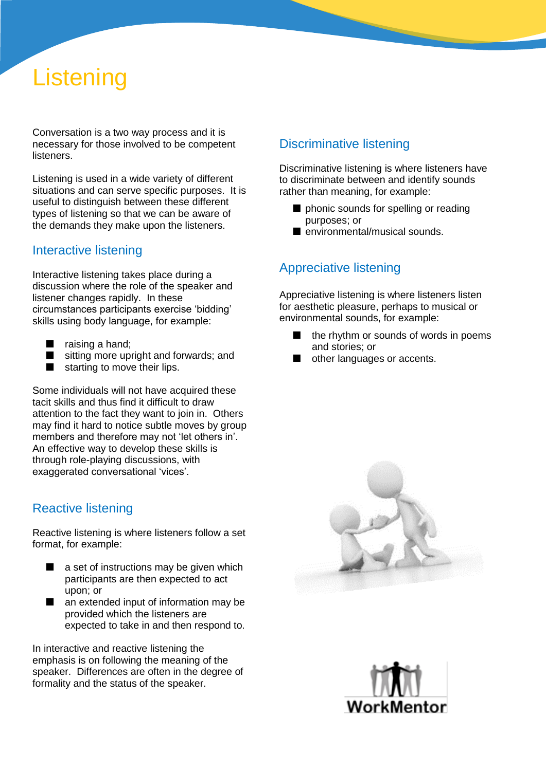# **Listening**

Conversation is a two way process and it is necessary for those involved to be competent listeners.

Listening is used in a wide variety of different situations and can serve specific purposes. It is useful to distinguish between these different types of listening so that we can be aware of the demands they make upon the listeners.

#### Interactive listening

Interactive listening takes place during a discussion where the role of the speaker and listener changes rapidly. In these circumstances participants exercise 'bidding' skills using body language, for example:

- raising a hand;
- sitting more upright and forwards; and
- starting to move their lips.

Some individuals will not have acquired these tacit skills and thus find it difficult to draw attention to the fact they want to join in. Others may find it hard to notice subtle moves by group members and therefore may not 'let others in'. An effective way to develop these skills is through role-playing discussions, with exaggerated conversational 'vices'.

## Reactive listening

Reactive listening is where listeners follow a set format, for example:

- $\Box$  a set of instructions may be given which participants are then expected to act upon; or
- an extended input of information may be provided which the listeners are expected to take in and then respond to.

In interactive and reactive listening the emphasis is on following the meaning of the speaker. Differences are often in the degree of formality and the status of the speaker.

### Discriminative listening

Discriminative listening is where listeners have to discriminate between and identify sounds rather than meaning, for example:

- phonic sounds for spelling or reading purposes; or
- environmental/musical sounds.

## Appreciative listening

Appreciative listening is where listeners listen for aesthetic pleasure, perhaps to musical or environmental sounds, for example:

- $\blacksquare$  the rhythm or sounds of words in poems and stories; or
- other languages or accents.